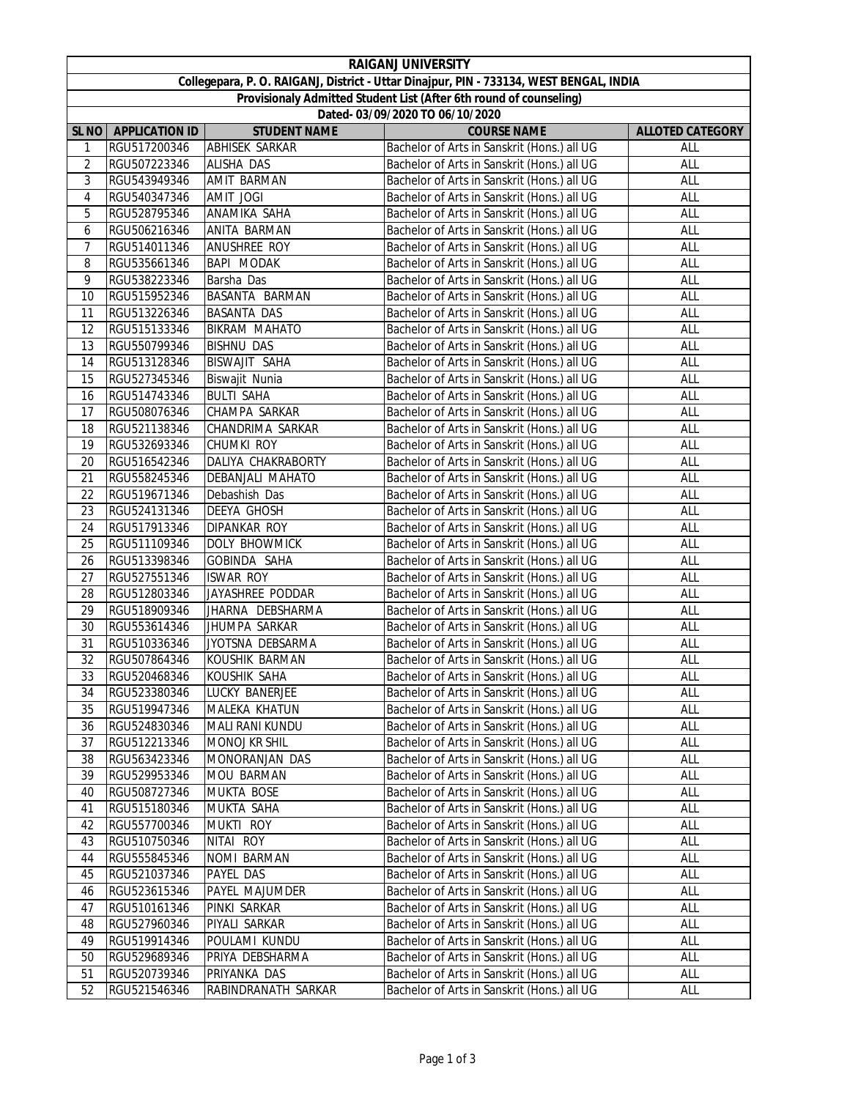|                                                                                         |                              |                                  | <b>RAIGANJ UNIVERSITY</b>                                                                  |                         |  |  |  |  |
|-----------------------------------------------------------------------------------------|------------------------------|----------------------------------|--------------------------------------------------------------------------------------------|-------------------------|--|--|--|--|
| Collegepara, P. O. RAIGANJ, District - Uttar Dinajpur, PIN - 733134, WEST BENGAL, INDIA |                              |                                  |                                                                                            |                         |  |  |  |  |
| Provisionaly Admitted Student List (After 6th round of counseling)                      |                              |                                  |                                                                                            |                         |  |  |  |  |
| Dated- 03/09/2020 TO 06/10/2020                                                         |                              |                                  |                                                                                            |                         |  |  |  |  |
| <b>SL NO</b>                                                                            | <b>APPLICATION ID</b>        | <b>STUDENT NAME</b>              | <b>COURSE NAME</b>                                                                         | <b>ALLOTED CATEGORY</b> |  |  |  |  |
| 1                                                                                       | RGU517200346                 | <b>ABHISEK SARKAR</b>            | Bachelor of Arts in Sanskrit (Hons.) all UG                                                | ALL                     |  |  |  |  |
| $\overline{2}$                                                                          | RGU507223346                 | <b>ALISHA DAS</b>                | Bachelor of Arts in Sanskrit (Hons.) all UG                                                | ALL                     |  |  |  |  |
| 3                                                                                       | RGU543949346                 | <b>AMIT BARMAN</b>               | Bachelor of Arts in Sanskrit (Hons.) all UG                                                | ALL                     |  |  |  |  |
| 4                                                                                       | RGU540347346                 | <b>AMIT JOGI</b>                 | Bachelor of Arts in Sanskrit (Hons.) all UG                                                | ALL                     |  |  |  |  |
| 5                                                                                       | RGU528795346                 | ANAMIKA SAHA                     | Bachelor of Arts in Sanskrit (Hons.) all UG                                                | ALL                     |  |  |  |  |
| 6                                                                                       | RGU506216346                 | ANITA BARMAN                     | Bachelor of Arts in Sanskrit (Hons.) all UG                                                | ALL                     |  |  |  |  |
| 7                                                                                       | RGU514011346                 | <b>ANUSHREE ROY</b>              | Bachelor of Arts in Sanskrit (Hons.) all UG                                                | ALL                     |  |  |  |  |
| 8                                                                                       | RGU535661346                 | BAPI MODAK                       | Bachelor of Arts in Sanskrit (Hons.) all UG                                                | ALL                     |  |  |  |  |
| 9                                                                                       | RGU538223346                 | Barsha Das                       | Bachelor of Arts in Sanskrit (Hons.) all UG                                                | ALL                     |  |  |  |  |
| 10                                                                                      | RGU515952346                 | BASANTA BARMAN                   | Bachelor of Arts in Sanskrit (Hons.) all UG                                                | ALL                     |  |  |  |  |
| 11                                                                                      | RGU513226346                 | <b>BASANTA DAS</b>               | Bachelor of Arts in Sanskrit (Hons.) all UG                                                | ALL                     |  |  |  |  |
| 12                                                                                      | RGU515133346                 | <b>BIKRAM MAHATO</b>             | Bachelor of Arts in Sanskrit (Hons.) all UG                                                | ALL                     |  |  |  |  |
| 13                                                                                      | RGU550799346                 | <b>BISHNU DAS</b>                | Bachelor of Arts in Sanskrit (Hons.) all UG                                                | ALL                     |  |  |  |  |
| 14                                                                                      | RGU513128346                 | BISWAJIT SAHA                    | Bachelor of Arts in Sanskrit (Hons.) all UG                                                | ALL                     |  |  |  |  |
| 15                                                                                      | RGU527345346                 | Biswajit Nunia                   | Bachelor of Arts in Sanskrit (Hons.) all UG                                                | ALL                     |  |  |  |  |
| 16                                                                                      | RGU514743346                 | <b>BULTI SAHA</b>                | Bachelor of Arts in Sanskrit (Hons.) all UG                                                | ALL                     |  |  |  |  |
| 17                                                                                      | RGU508076346                 | CHAMPA SARKAR                    | Bachelor of Arts in Sanskrit (Hons.) all UG                                                | ALL                     |  |  |  |  |
| 18                                                                                      | RGU521138346                 | CHANDRIMA SARKAR                 | Bachelor of Arts in Sanskrit (Hons.) all UG                                                | ALL                     |  |  |  |  |
| 19                                                                                      | RGU532693346                 | <b>CHUMKI ROY</b>                | Bachelor of Arts in Sanskrit (Hons.) all UG                                                | ALL                     |  |  |  |  |
| 20                                                                                      | RGU516542346                 | DALIYA CHAKRABORTY               | Bachelor of Arts in Sanskrit (Hons.) all UG                                                | ALL                     |  |  |  |  |
| 21                                                                                      | RGU558245346                 | DEBANJALI MAHATO                 | Bachelor of Arts in Sanskrit (Hons.) all UG                                                | ALL                     |  |  |  |  |
| 22                                                                                      | RGU519671346                 | Debashish Das                    | Bachelor of Arts in Sanskrit (Hons.) all UG                                                | ALL                     |  |  |  |  |
| 23                                                                                      | RGU524131346                 | DEEYA GHOSH                      | Bachelor of Arts in Sanskrit (Hons.) all UG                                                | ALL                     |  |  |  |  |
| 24                                                                                      | RGU517913346                 | <b>DIPANKAR ROY</b>              | Bachelor of Arts in Sanskrit (Hons.) all UG                                                | ALL                     |  |  |  |  |
| 25                                                                                      | RGU511109346                 | DOLY BHOWMICK                    | Bachelor of Arts in Sanskrit (Hons.) all UG                                                | ALL                     |  |  |  |  |
| 26                                                                                      | RGU513398346                 | GOBINDA SAHA                     | Bachelor of Arts in Sanskrit (Hons.) all UG                                                | ALL                     |  |  |  |  |
| 27                                                                                      | RGU527551346                 | <b>ISWAR ROY</b>                 | Bachelor of Arts in Sanskrit (Hons.) all UG                                                | ALL                     |  |  |  |  |
| 28                                                                                      | RGU512803346                 | JAYASHREE PODDAR                 | Bachelor of Arts in Sanskrit (Hons.) all UG                                                | ALL                     |  |  |  |  |
| 29                                                                                      | RGU518909346                 | JHARNA DEBSHARMA                 | Bachelor of Arts in Sanskrit (Hons.) all UG                                                | ALL                     |  |  |  |  |
| 30                                                                                      | RGU553614346                 | JHUMPA SARKAR                    | Bachelor of Arts in Sanskrit (Hons.) all UG                                                | ALL                     |  |  |  |  |
| 31                                                                                      | RGU510336346                 | JYOTSNA DEBSARMA                 | Bachelor of Arts in Sanskrit (Hons.) all UG                                                | ALL                     |  |  |  |  |
| 32                                                                                      | RGU507864346                 | KOUSHIK BARMAN                   | Bachelor of Arts in Sanskrit (Hons.) all UG                                                | ALL                     |  |  |  |  |
| 33                                                                                      | RGU520468346                 | KOUSHIK SAHA                     | Bachelor of Arts in Sanskrit (Hons.) all UG                                                | <b>ALL</b>              |  |  |  |  |
| 34                                                                                      | RGU523380346                 | LUCKY BANERJEE                   | Bachelor of Arts in Sanskrit (Hons.) all UG                                                | ALL                     |  |  |  |  |
| 35                                                                                      | RGU519947346                 | MALEKA KHATUN                    | Bachelor of Arts in Sanskrit (Hons.) all UG                                                | ALL                     |  |  |  |  |
| 36                                                                                      | RGU524830346                 | MALI RANI KUNDU                  | Bachelor of Arts in Sanskrit (Hons.) all UG                                                | ALL                     |  |  |  |  |
| 37                                                                                      | RGU512213346                 | <b>MONOJ KR SHIL</b>             | Bachelor of Arts in Sanskrit (Hons.) all UG                                                | ALL                     |  |  |  |  |
| 38                                                                                      | RGU563423346                 | MONORANJAN DAS                   | Bachelor of Arts in Sanskrit (Hons.) all UG                                                | ALL                     |  |  |  |  |
| 39                                                                                      | RGU529953346                 | <b>MOU BARMAN</b>                | Bachelor of Arts in Sanskrit (Hons.) all UG                                                | ALL                     |  |  |  |  |
| 40                                                                                      | RGU508727346                 | <b>MUKTA BOSE</b>                | Bachelor of Arts in Sanskrit (Hons.) all UG                                                | <b>ALL</b>              |  |  |  |  |
| 41                                                                                      | RGU515180346                 | MUKTA SAHA                       | Bachelor of Arts in Sanskrit (Hons.) all UG                                                | <b>ALL</b>              |  |  |  |  |
| 42                                                                                      | RGU557700346                 | MUKTI ROY<br>NITAI ROY           | Bachelor of Arts in Sanskrit (Hons.) all UG                                                | ALL                     |  |  |  |  |
| 43                                                                                      | RGU510750346                 |                                  | Bachelor of Arts in Sanskrit (Hons.) all UG                                                | ALL                     |  |  |  |  |
| 44                                                                                      | RGU555845346                 | NOMI BARMAN                      | Bachelor of Arts in Sanskrit (Hons.) all UG                                                | ALL                     |  |  |  |  |
| 45                                                                                      | RGU521037346                 | PAYEL DAS                        | Bachelor of Arts in Sanskrit (Hons.) all UG                                                | ALL                     |  |  |  |  |
| 46                                                                                      | RGU523615346                 | PAYEL MAJUMDER                   | Bachelor of Arts in Sanskrit (Hons.) all UG                                                | ALL                     |  |  |  |  |
| 47                                                                                      | RGU510161346                 | PINKI SARKAR                     | Bachelor of Arts in Sanskrit (Hons.) all UG                                                | ALL                     |  |  |  |  |
| 48                                                                                      | RGU527960346                 | PIYALI SARKAR                    | Bachelor of Arts in Sanskrit (Hons.) all UG                                                | ALL                     |  |  |  |  |
| 49<br>50                                                                                | RGU519914346<br>RGU529689346 | POULAMI KUNDU<br>PRIYA DEBSHARMA | Bachelor of Arts in Sanskrit (Hons.) all UG<br>Bachelor of Arts in Sanskrit (Hons.) all UG | ALL<br>ALL              |  |  |  |  |
| 51                                                                                      | RGU520739346                 | PRIYANKA DAS                     | Bachelor of Arts in Sanskrit (Hons.) all UG                                                | ALL                     |  |  |  |  |
| 52                                                                                      | RGU521546346                 | RABINDRANATH SARKAR              | Bachelor of Arts in Sanskrit (Hons.) all UG                                                | ALL                     |  |  |  |  |
|                                                                                         |                              |                                  |                                                                                            |                         |  |  |  |  |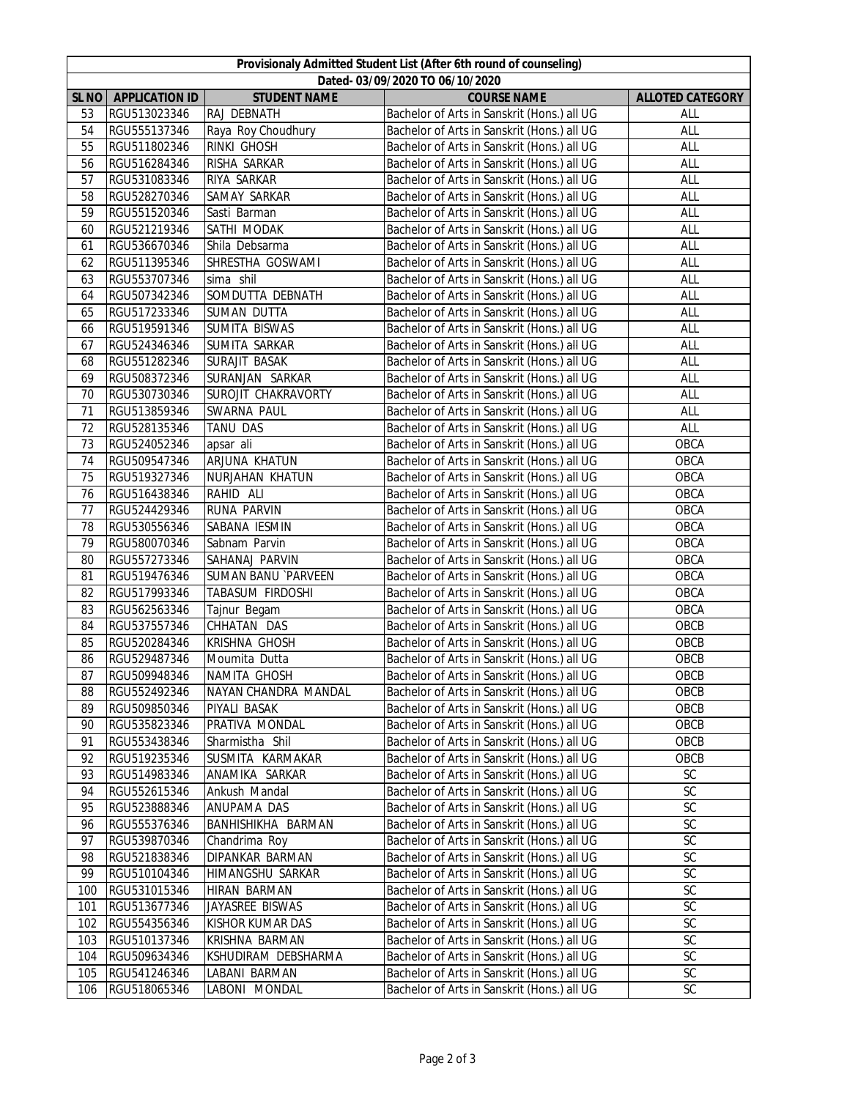|                  | Provisionaly Admitted Student List (After 6th round of counseling) |                                    |                                                                                            |                          |  |  |  |  |
|------------------|--------------------------------------------------------------------|------------------------------------|--------------------------------------------------------------------------------------------|--------------------------|--|--|--|--|
|                  | Dated-03/09/2020 TO 06/10/2020                                     |                                    |                                                                                            |                          |  |  |  |  |
| SL <sub>NO</sub> | <b>APPLICATION ID</b>                                              | <b>STUDENT NAME</b>                | <b>COURSE NAME</b>                                                                         | <b>ALLOTED CATEGORY</b>  |  |  |  |  |
| 53               | RGU513023346                                                       | RAJ DEBNATH                        | Bachelor of Arts in Sanskrit (Hons.) all UG                                                | ALL                      |  |  |  |  |
| 54               | RGU555137346                                                       | Raya Roy Choudhury                 | Bachelor of Arts in Sanskrit (Hons.) all UG                                                | ALL                      |  |  |  |  |
| 55               | RGU511802346                                                       | RINKI GHOSH                        | Bachelor of Arts in Sanskrit (Hons.) all UG                                                | ALL                      |  |  |  |  |
| 56               | RGU516284346                                                       | RISHA SARKAR                       | Bachelor of Arts in Sanskrit (Hons.) all UG                                                | ALL                      |  |  |  |  |
| 57               | RGU531083346                                                       | RIYA SARKAR                        | Bachelor of Arts in Sanskrit (Hons.) all UG<br>Bachelor of Arts in Sanskrit (Hons.) all UG | ALL                      |  |  |  |  |
| 58               | RGU528270346                                                       | SAMAY SARKAR                       |                                                                                            | ALL                      |  |  |  |  |
| 59               | RGU551520346                                                       | Sasti Barman                       | Bachelor of Arts in Sanskrit (Hons.) all UG                                                | ALL                      |  |  |  |  |
| 60               | RGU521219346                                                       | SATHI MODAK                        | Bachelor of Arts in Sanskrit (Hons.) all UG                                                | <b>ALL</b><br><b>ALL</b> |  |  |  |  |
| 61<br>62         | RGU536670346                                                       | Shila Debsarma<br>SHRESTHA GOSWAMI | Bachelor of Arts in Sanskrit (Hons.) all UG<br>Bachelor of Arts in Sanskrit (Hons.) all UG | ALL                      |  |  |  |  |
| 63               | RGU511395346<br>RGU553707346                                       |                                    |                                                                                            | ALL                      |  |  |  |  |
| 64               |                                                                    | sima shil                          | Bachelor of Arts in Sanskrit (Hons.) all UG                                                |                          |  |  |  |  |
|                  | RGU507342346                                                       | SOMDUTTA DEBNATH                   | Bachelor of Arts in Sanskrit (Hons.) all UG                                                | <b>ALL</b>               |  |  |  |  |
| 65               | RGU517233346<br>RGU519591346                                       | SUMAN DUTTA                        | Bachelor of Arts in Sanskrit (Hons.) all UG                                                | <b>ALL</b>               |  |  |  |  |
| 66               |                                                                    | SUMITA BISWAS<br>SUMITA SARKAR     | Bachelor of Arts in Sanskrit (Hons.) all UG                                                | ALL                      |  |  |  |  |
| 67<br>68         | RGU524346346<br>RGU551282346                                       | SURAJIT BASAK                      | Bachelor of Arts in Sanskrit (Hons.) all UG<br>Bachelor of Arts in Sanskrit (Hons.) all UG | ALL<br>ALL               |  |  |  |  |
| 69               | RGU508372346                                                       | SURANJAN SARKAR                    | Bachelor of Arts in Sanskrit (Hons.) all UG                                                | ALL                      |  |  |  |  |
| 70               | RGU530730346                                                       | <b>SUROJIT CHAKRAVORTY</b>         | Bachelor of Arts in Sanskrit (Hons.) all UG                                                | ALL                      |  |  |  |  |
| 71               | RGU513859346                                                       | SWARNA PAUL                        | Bachelor of Arts in Sanskrit (Hons.) all UG                                                | ALL                      |  |  |  |  |
| 72               | RGU528135346                                                       | <b>TANU DAS</b>                    | Bachelor of Arts in Sanskrit (Hons.) all UG                                                | ALL                      |  |  |  |  |
| 73               | RGU524052346                                                       |                                    | Bachelor of Arts in Sanskrit (Hons.) all UG                                                | OBCA                     |  |  |  |  |
| 74               | RGU509547346                                                       | apsar ali<br>ARJUNA KHATUN         | Bachelor of Arts in Sanskrit (Hons.) all UG                                                | <b>OBCA</b>              |  |  |  |  |
| 75               | RGU519327346                                                       | NURJAHAN KHATUN                    | Bachelor of Arts in Sanskrit (Hons.) all UG                                                | <b>OBCA</b>              |  |  |  |  |
| 76               | RGU516438346                                                       | RAHID ALI                          | Bachelor of Arts in Sanskrit (Hons.) all UG                                                | <b>OBCA</b>              |  |  |  |  |
| 77               | RGU524429346                                                       | RUNA PARVIN                        | Bachelor of Arts in Sanskrit (Hons.) all UG                                                | <b>OBCA</b>              |  |  |  |  |
| 78               | RGU530556346                                                       | SABANA IESMIN                      | Bachelor of Arts in Sanskrit (Hons.) all UG                                                | <b>OBCA</b>              |  |  |  |  |
| 79               | RGU580070346                                                       | Sabnam Parvin                      | Bachelor of Arts in Sanskrit (Hons.) all UG                                                | <b>OBCA</b>              |  |  |  |  |
| 80               | RGU557273346                                                       | SAHANAJ PARVIN                     | Bachelor of Arts in Sanskrit (Hons.) all UG                                                | <b>OBCA</b>              |  |  |  |  |
| 81               | RGU519476346                                                       | <b>SUMAN BANU `PARVEEN</b>         | Bachelor of Arts in Sanskrit (Hons.) all UG                                                | <b>OBCA</b>              |  |  |  |  |
| 82               | RGU517993346                                                       | TABASUM FIRDOSHI                   | Bachelor of Arts in Sanskrit (Hons.) all UG                                                | <b>OBCA</b>              |  |  |  |  |
| 83               | RGU562563346                                                       | Tajnur Begam                       | Bachelor of Arts in Sanskrit (Hons.) all UG                                                | <b>OBCA</b>              |  |  |  |  |
| 84               | RGU537557346                                                       | CHHATAN DAS                        | Bachelor of Arts in Sanskrit (Hons.) all UG                                                | OBCB                     |  |  |  |  |
| 85               | RGU520284346                                                       | <b>KRISHNA GHOSH</b>               | Bachelor of Arts in Sanskrit (Hons.) all UG                                                | OBCB                     |  |  |  |  |
| 86               | RGU529487346                                                       | Moumita Dutta                      | Bachelor of Arts in Sanskrit (Hons.) all UG                                                | OBCB                     |  |  |  |  |
| 87               | RGU509948346                                                       | NAMITA GHOSH                       | Bachelor of Arts in Sanskrit (Hons.) all UG                                                | OBCB                     |  |  |  |  |
| 88               | RGU552492346                                                       | NAYAN CHANDRA MANDAL               | Bachelor of Arts in Sanskrit (Hons.) all UG                                                | OBCB                     |  |  |  |  |
| 89               | RGU509850346                                                       | PIYALI BASAK                       | Bachelor of Arts in Sanskrit (Hons.) all UG                                                | OBCB                     |  |  |  |  |
| 90               | RGU535823346                                                       | PRATIVA MONDAL                     | Bachelor of Arts in Sanskrit (Hons.) all UG                                                | OBCB                     |  |  |  |  |
| 91               | RGU553438346                                                       | Sharmistha Shil                    | Bachelor of Arts in Sanskrit (Hons.) all UG                                                | OBCB                     |  |  |  |  |
| 92               | RGU519235346                                                       | SUSMITA KARMAKAR                   | Bachelor of Arts in Sanskrit (Hons.) all UG                                                | OBCB                     |  |  |  |  |
| 93               | RGU514983346                                                       | ANAMIKA SARKAR                     | Bachelor of Arts in Sanskrit (Hons.) all UG                                                | SC                       |  |  |  |  |
| 94               | RGU552615346                                                       | Ankush Mandal                      | Bachelor of Arts in Sanskrit (Hons.) all UG                                                | SC                       |  |  |  |  |
| 95               | RGU523888346                                                       | ANUPAMA DAS                        | Bachelor of Arts in Sanskrit (Hons.) all UG                                                | $\mathsf{SC}$            |  |  |  |  |
| 96               | RGU555376346                                                       | BANHISHIKHA BARMAN                 | Bachelor of Arts in Sanskrit (Hons.) all UG                                                | $\mathsf{SC}$            |  |  |  |  |
| 97               | RGU539870346                                                       | Chandrima Roy                      | Bachelor of Arts in Sanskrit (Hons.) all UG                                                | $\mathsf{SC}$            |  |  |  |  |
| 98               | RGU521838346                                                       | DIPANKAR BARMAN                    | Bachelor of Arts in Sanskrit (Hons.) all UG                                                | SC                       |  |  |  |  |
| 99               | RGU510104346                                                       | HIMANGSHU SARKAR                   | Bachelor of Arts in Sanskrit (Hons.) all UG                                                | SC                       |  |  |  |  |
| 100              | RGU531015346                                                       | HIRAN BARMAN                       | Bachelor of Arts in Sanskrit (Hons.) all UG                                                | SC                       |  |  |  |  |
| 101              | RGU513677346                                                       | JAYASREE BISWAS                    | Bachelor of Arts in Sanskrit (Hons.) all UG                                                | SC                       |  |  |  |  |
| 102              | RGU554356346                                                       | KISHOR KUMAR DAS                   | Bachelor of Arts in Sanskrit (Hons.) all UG                                                | SC                       |  |  |  |  |
| 103              | RGU510137346                                                       | KRISHNA BARMAN                     | Bachelor of Arts in Sanskrit (Hons.) all UG                                                | $\mathsf{SC}$            |  |  |  |  |
| 104              | RGU509634346                                                       | KSHUDIRAM DEBSHARMA                | Bachelor of Arts in Sanskrit (Hons.) all UG                                                | SC                       |  |  |  |  |
| 105              | RGU541246346                                                       | LABANI BARMAN                      | Bachelor of Arts in Sanskrit (Hons.) all UG                                                | SC                       |  |  |  |  |
| 106              | RGU518065346                                                       | LABONI MONDAL                      | Bachelor of Arts in Sanskrit (Hons.) all UG                                                | SC                       |  |  |  |  |